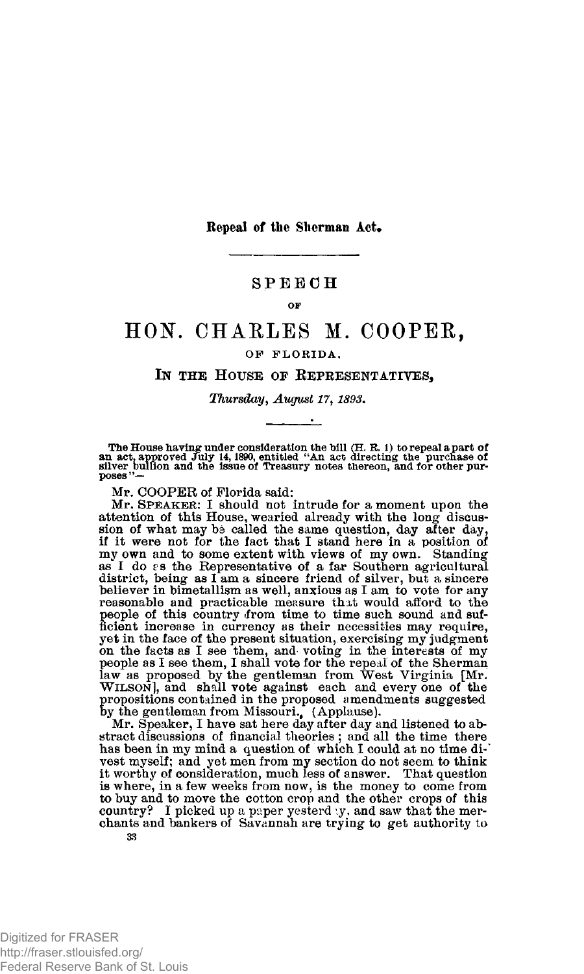**Repeal of the Sherman Act.** 

## **SPEEC H**

#### **OF**

# **HON. CHARLES M. COOPER,**

### **OF FLORIDA,**

## **IN THE HOUSE OF REPRESENTATIVES,**

### *Thursday, August 17,1893.*

The House having under consideration the bill  $(H. R. 1)$  to repeal a part of an act, approved July 14, 1890, entitled "An act directing the purchase of silver bullion and the issue of Treasury notes thereon, and for other

**Mr. COOPER of Florida said:** 

**Mr. SPEAKER: I should not intrude for a moment upon the attention of this House, wearied already with the long- discussion of what may be called the same question, day after day, if it were not for the fact that I stand here in a position of my own and to some extent with views of my own. Standing**as I do  $\varepsilon$ s the Representative of a far Southern agricultural district, being as I am a sincere friend of silver, but a sincere believer in bimetallism as well, anxious as I am to vote for any reasonable and practicabl **people of this country ifrom time to time such sound and sufficient increase in currency as their necessities may require, yet in the face of the present situation, exercising my judgment**  on the facts as I see them, and voting in the interests of my<br>people as I see them, I shall vote for the repeal of the Sherman<br>law as proposed by the gentleman from West Virginia [Mr.<br>WILSON], and shall vote against each a

**by the gentleman from Missouri., (Applause). Mr. Speaker, I have sat here day after day and listened to abstract discussions of financial theories ; and all the time there has been in my mind a question of which I could at no time divest myself; and yet men from my section do not seem to think it worthy of consideration, much less of answer. That question is where, in a few weeks from now, is the money to come from to buy and to move the cotton crop and the other crops of this country? I picked up a paper yesterday, and saw that the mer-chants and bankers of Savannah are trying to get authority to 33**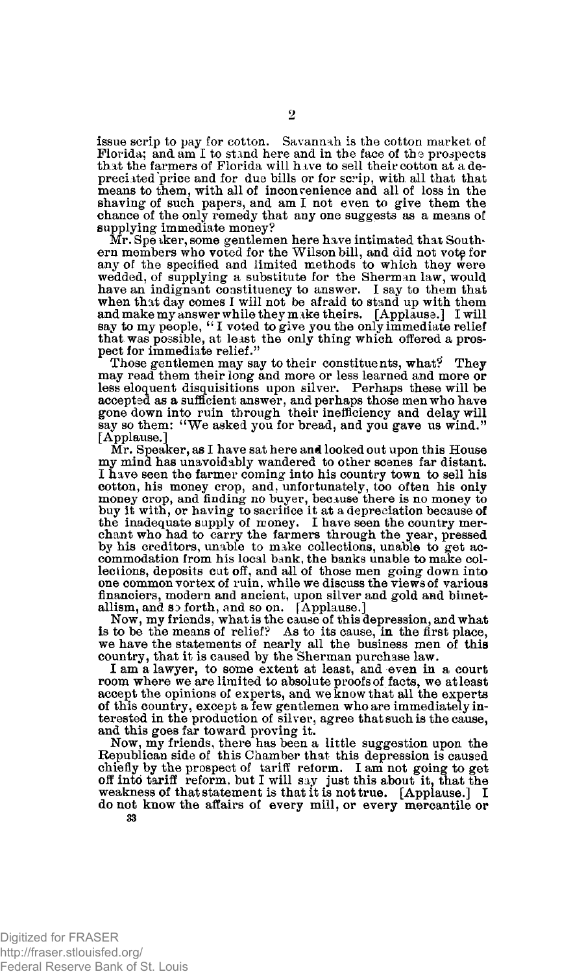**issue scrip to pay for cotton. Savannah is the cotton market of**  Florida; and am I to stand here and in the face of the prospects **that the farmers of Florida will have to sell their cotton at a de**preciated price and for due bills or for scrip, with all that that **means to them, with all of inconvenience and all of loss in the**  shaving of such papers, and am I not even to give them the **chance of the only remedy that any one suggests as a means of supplying immediate money?** 

**Mr. Speaker, some gentlemen here have intimated that Southern members who voted for the Wilson bill, and did not votp for any of the specified and limited methods to which they were wedded, of supplying a substitute for the Sherman law, would have an indignant constituency to answer. I say to them that when that day comes I will not be afraid to stand up with them and make my answer while they m ake theirs. [Applause.] I will say to my people, " I voted to give you the only immediate relief that was possible, at least the only thing which offered a prospect for immediate relief."** 

**Those gentlemen may say to their constituents, what? They may read them their long and more or less learned and more or less eloquent disquisitions upon silver. Perhaps these will be accepted as a sufficient answer, and perhaps those men who have gone down into ruin through their inefficiency and delay will say so them: <sup>4</sup>'We asked you for bread, and you gave us wind." [Applause.]** 

**Mr. Speaker, as I have sat here and looked out upon this House my mind has unavoidably wandered to other scenes far distant. I have seen the farmer coming into his country town to sell his cotton, his money crop, and, unfortunately, too often his only money crop, and finding no buyer, because there is no money to buy it with, or having to sacrifice it at a depreciation because of the inadequate supply of money. I have seen the country merchant who had to carry the farmers through the year, pressed by his creditors, unable to make collections, unable to get ac-commodation from his local bank, the banks unable to make collections, deposits cut off, and all of those men going down into one common vortex of ruin, while we discuss the views of various financiers, modern and ancient, upon silver and gold and bimetallism, and so forth, and so on. [Applause.]** 

**Now, my friends, what is the cause of this depression, and what is to be the means of relief? As to its cause, in the first place, we have the statements of nearly all the business men of this country, that it is caused by the Sherman purchase law.** 

**I am a lawyer, to some extent at least, and even in a court room where we are limited to absolute proofs of facts, we at least accept the opinions of experts, and we know that all the experts of this country, except a few gentlemen who are immediately interested in the production of silver, agree that such is the cause, and this goes far toward proving it.** 

**Now, my friends, there has been a little suggestion upon the Republican side of this Chamber that this depression is caused chiefly by the prospect of tariff reform. I am not going to get off into tariff reform, but I will say just this about it, that the weakness of that statement is that it is not true. [Applause.] I do not know the affairs of every mill, or every mercantile or**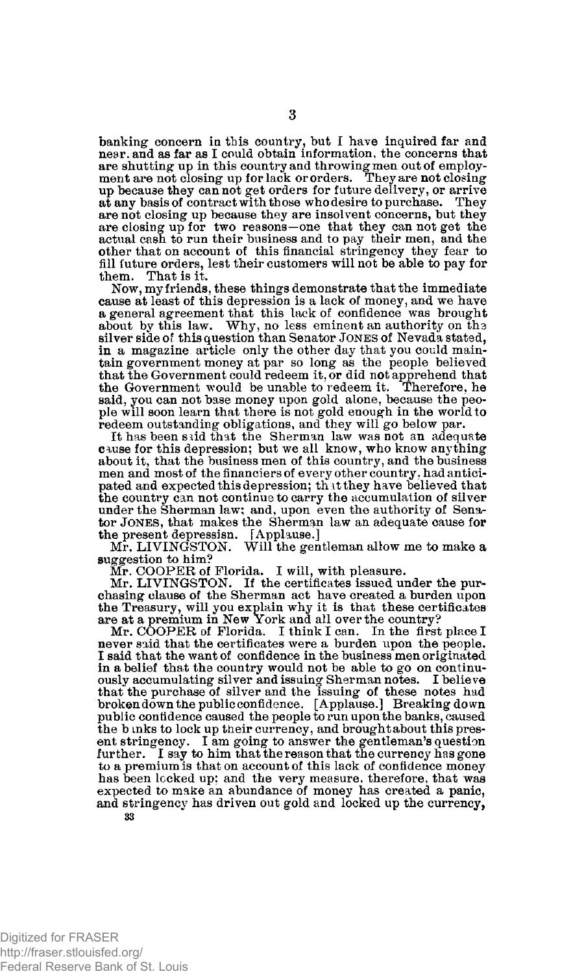**banking concern in this country, but I have inquired far and near, and as far as I could obtain information, the concerns that are shutting up in this country and throwing men out of employ-ment are not closing up for lack or orders. They are not closing up because they can not get orders for future delivery, or arrive at any basis of contract with th ose who desire to purchase. They are not closing up because they are insolvent concerns, but they are closing up for two reasons—one that they can not get the actual cash to run their business and to pay their men, and the other that on account of this financial stringency they fear to fill future orders, lest their customers will not be able to pay for them. That is it.** 

**Now, my friends, these things demonstrate that the immediate cause at least of this depression is a lack of money, and we have a general agreement that this lack of confidence was brought about by this law. Why, no less eminent an authority on the silver side of this question than Senator JONES of Nevada stated,**  in a magazine article only the other day that you could main-<br>tain government money at par so long as the people believed<br>that the Government could redeem it, or did not apprehend that<br>the Government would be unable to red **said, you can not base money upon gold alone, because the people will soon learn that there is not gold enough in the world to redeem outstanding obligations, and they will go below par.** 

**It has been said that the Sherman law was not an adequate**  cause for this depression; but we all know, who know anything **about it, that the business men of this country, and the business men and most of the financiers of every other country, had anticipated and expected this depression; th it they have believed that the country can not continue to carry the accumulation of silver under the Sherman law; and, upon even the authority of Senator JONES, that makes the Sherman law an adequate cause for** 

the present depressisn. [Applause.]<br>Mr. LIVINGSTON. Will the gentleman allow me to make a **suggestion to him?** 

**Mr. COOPER of Florida. I will, with pleasure. Mr. LIVINGSTON. If the certificates issued under the purchasing clause of the Sherman act have created a burden upon the Treasury, will you explain why it is that these certificates are at a premium in New York and all over the country?** 

**Mr. COOPER of Florida. I think I can. In the first place I never said that the certificates were a burden upon the people. I said that the want of confidence in the business men originated in a belief that the country would not be able to go on continuously accumulating silver and issuing Sherman notes. I believe that the purchase of silver and the issuing of these notes had broken down the public confidence. [ Applause. ] Breaking do wn public confidence caused the people to run upon the banks, caused the b inks to lock up their currency, and brought about this present stringency. I am going to answer the gentleman's question further. I say to him that the reason that the currency has gone to a premium is that on account of this lack of confidence money has been locked up: and the very measure, therefore, that was expected to make an abundance of money has created a panic, and stringency has driven out gold and locked up the currency,**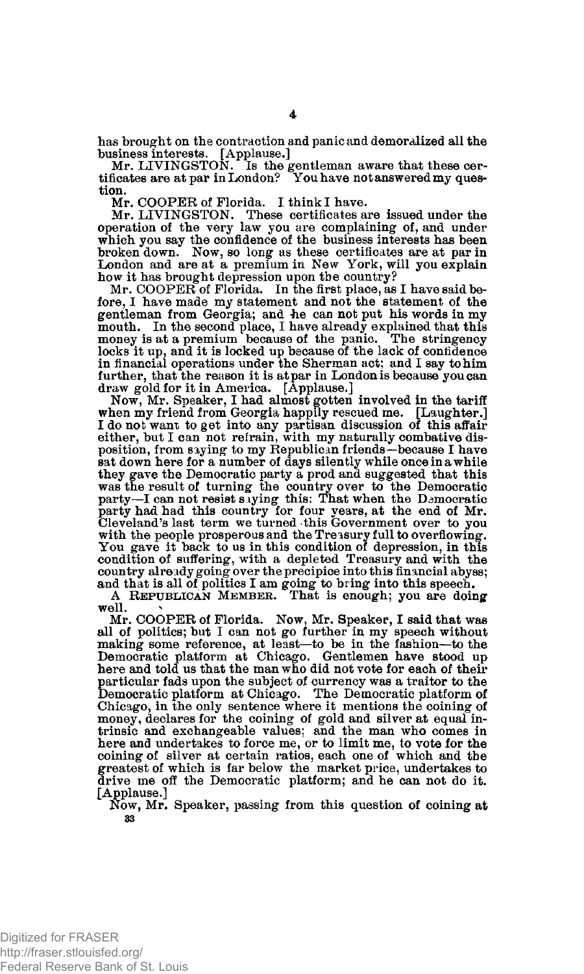**has brought on the contraction and panic and demoralized all the business interests. [Applause.] Mr. LIVINGSTON. Is the gentleman aware that these cer-**

**tificates are at par in London? You have not answered my question.** 

**Mr. COOPER of Florida. I think I have.** 

Mr. LIVINGSTON. These certificates are issued under the operation of the very law you are complaining of, and under which you say the confidence of the business interests has been broken down. Now, so long as these certifi **how it has brought depression upon the country?** 

**Mr. COOPER of Florida. In the first place, as I have said before, I have made my statement and not the statement of the gentleman from Georgia; and** *he* **can not put his words in my mouth. In the second place, I have already explained that this money is at a premium because of the panic. The stringency locks it up, and it is locked up because of the lack of confidence**  in financial operations under the Sherman act; and I say to him **further, that the reason it is at par in London is because you can draw gold for it in America. [Applause.]** 

**Now, Mr. Speaker, I had almost gotten involved in the tariff when my friend from Georgia happily rescued me. [Laughter.] I do not want to get into any partisan discussion of this affair either, but I can not refrain, with my naturally combative disposition, from saying to my Republican friends—because I have sat down here for a number of days silently while once in a while they gave the Democratic party a prod and suggested that this was the result of turning the country over to the Democratic party—I can not resist s tying this: That when the Democratic party had had this country for four years, at the end of Mr. Cleveland's last term we turned this Government over to you with the people prosperous and the Treasury full to overflowing. You gave it back to us in this condition of depression, in this condition of suffering, with a depleted Treasury and with the country already going over the precipice into this financial abyss; and that is all of politics I am going to bring into this speech. A REPUBLICAN MEMBER. That is enough; you are doing** 

**well. \*** 

**Mr. COOPER of Florida. Now, Mr. Speaker, I said that was all of politics; but I can not go further in my speech without making some reference, at least—to be in the fashion—to the Democratic platform at Chicago. Gentlemen have stood up here and told us that the man who did not vote for each of their particular fads upon the subject of currency was a traitor to the Democratic platform at Chicago. The Democratic platform of Chicago, in the only sentence where it mentions the coining of money, declares for the coining of gold and silver at equal intrinsic and exchangeable values; and the man who comes in here and undertakes to force me, or to limit me, to vote for the coining of silver at certain ratios, each one of which and the greatest of which is far below the market price, undertakes to drive me off the Democratic platform; and he can not do it. [Applause.]** 

**Now, Mr. Speaker, passing from this question of coining at 33**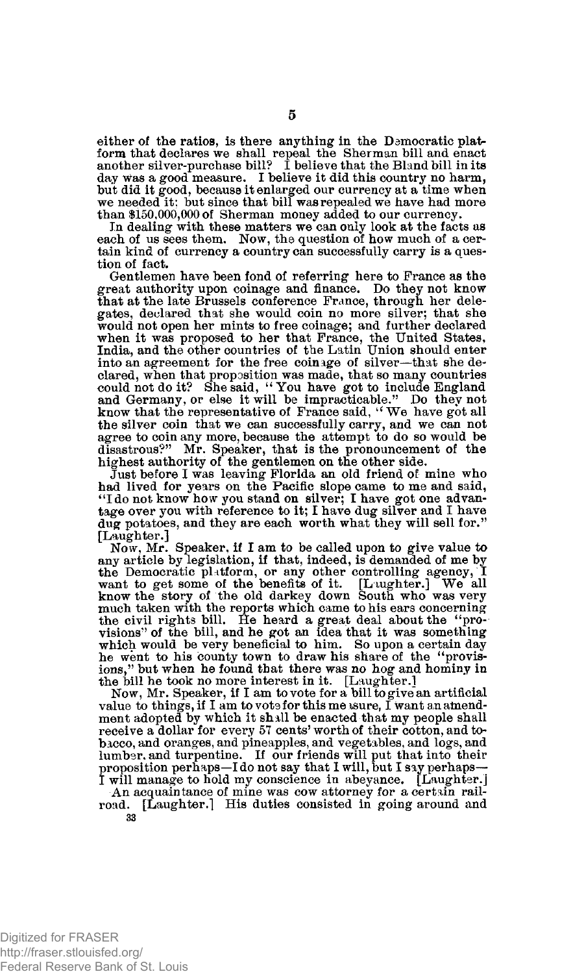either of the ratios, is there anything in the Democratic plat**form that declares we shall repeal the Sherman bill and enact another silver-purchase bill? I believe that the Bland bill in its day was a good measure. I believe it did this country no harm, but did it good, because it enlarged our currency at a time when we needed it; but since that bill was repealed we have had more than \$150,000,000 of Sherman money added to our currency.** 

**In dealing with these matters we can only look at the facts as each of us sees them. Now, the question of how much of a certain kind of currency a country can successfully carry is a question of fact.** 

**Gentlemen have been fond of referring here to France as the great authority upon coinage and finance. Do they not know that at the late Brussels conference France, through her delegates, declared that she would coin no more silver; that she would not open her mints to free coinage; and further declared when it was proposed to her that France, the United States, India, and the other countries of the Latin Union should enter into an agreement for the free coinage of silver—that she declared, when that proposition was made, that so many countries could not do it? She said, " You have got to include England and Germany, or else it will be impracticable." Do they not know that the representative of France said, " We have got all the silver coin that we can successfully carry, and we can not agree to coin any more, because the attempt to do so would be disastrous?" Mr. Speaker, that is the pronouncement of the highest authority of the gentlemen on the other side.** 

**Just before I was leaving Florida an old friend of mine who had lived for years on the Pacific slope came to me and said, 4 'I do not know how you stand on silver; I have got one advantage over you with reference to it; I have dug silver and I have dug potatoes, and they are each worth what they will sell for." [Laughter.]** 

**Now, Mr. Speaker, if I am to be called upon to give value to any article by legislation, if that, indeed, is demanded of me by the Democratic platform, or any other controlling agency, I want to get some of the benefits of it. [Laughter.] We all know the story of the old darkey down South who was very**  much taken with the reports which came to his ears concerning the civil rights bill. He heard a great deal about the "pro-<br>visions" of the bill, and he got an idea that it was something **which would be very beneficial to him. So upon a certain day he went to his county town to draw his share of the ''provisions," but when he found that there was no hog and hominy in the bill he took no more interest in it. [Laughter.]** 

**Now, Mr. Speaker, if I am to vote for a bill to give an artificial**  value to things, if I am to vote for this measure, I want an amend**ment adopted by which it shall be enacted that my people shall receive a dollar for every 57 cents' worth of their cotton, and tobacco, and oranges, and pineapples, and vegetables, and logs, and lumber, and turpentine. If our friends will put that into their proposition perhaps—I do not say that 1 will, but I say perhaps— I will manage to hold my conscience in abeyance. [Laughter.]** 

**An acquaintance of mine was cow attorney for a certain railroad. [Laughter.] His duties consisted in going around and 33**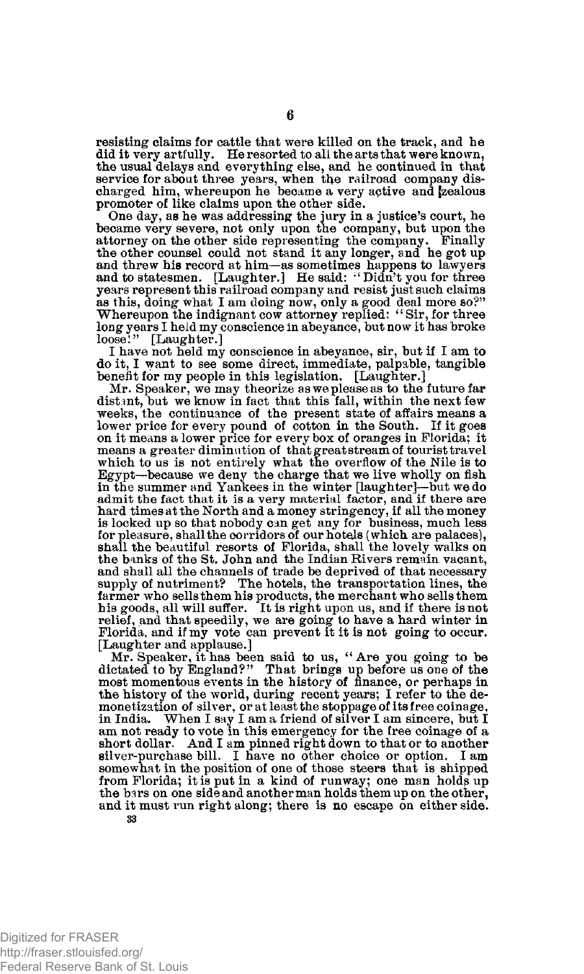**resisting claims for cattle that were killed on the track, and he did it very artfully. He resorted to all the arts that were known, the usual delays and everything else, and he continued in that service for about three years, when the railroad company dis-charged him, whereupon he became a very active and [zealous promoter of like claims upon the other side.** 

**One day, as he was addressing the jury in a justice's court, he became very severe, not only upon the company, but upon the**  attorney on the other side representing the company. Finally<br>the other counsel could not stand it any longer, and he got up<br>and threw his record at him—as sometimes happens to lawyers<br>and to statesmen. [Laughter.] He said: **as this, doing what I am doing now, only a good deal more so?" Whereupon the indignant cow attorney replied: "Sir, for three long years I held my conscience in abeyance, but now it has broke loose!" [Laughter.]** 

**I have not held my conscience in abeyance, sir, but if I am to do it, I want to see some direct, immediate, palpable, tangible benefit for my people in this legislation. [Laughter.]** 

**Mr. Speaker, we may theorize as we please as to the future far distant, but we know in fact that this fall, within the next few weeks, the continuance of the present state of affairs means a lower price for every pound of cotton in the South. If it goes on it means a lower price for every box of oranges in Florida; it means a greater diminution of that great stream of tourist travel which to us is not entirely what the overflow of the Nile is to Egypt—because we deny the charge that we live wholly on fish in the summer and Yankees in the winter [laughter]—but we do admit the fact that it is a very material factor, and if there are hard times at the North and a money stringency, if all the money is locked up so that nobody can get any for business, much less for pleasure, shall the corridors of our hotels (which are palaces), shall the beautiful resorts of Florida, shall the lovely walks on the banks of the St. John and the Indian Rivers remain vacant, and shall all the channels of trade be deprived of that necessary supply of nutriment? The hotels, the transportation lines, the farmer who sells them his products, the merchant who sells them his goods, all will suffer. It is right upon us, and if there is not relief, and that speedily, we are going to have a hard winter in Florida, and if my vote can prevent it it is not going to occur. [Laughter and applause.]** 

**Mr. Speaker, it has been said to us, " Are you going to be dictated to by England?" That brings up before us one of the most momentous events in the history of finance, or perhaps in the history of the world, during recent years; I refer to the de-monetization of silver, or at least the stoppage of its free coinage, in India. When I say I am a friend of silver I am sincere, but I am not ready to vote in this emergency for the free coinage of a short dollar. And I am pinned right down to that or to another silver-purchase bill. I have no other choice or option. I am somewhat in the position of one of those steers that is shipped**  from Florida; it is put in a kind of runway; one man holds up **the bars on one side and another man holds them up on the other, and it must run right along; there is no escape on either side.**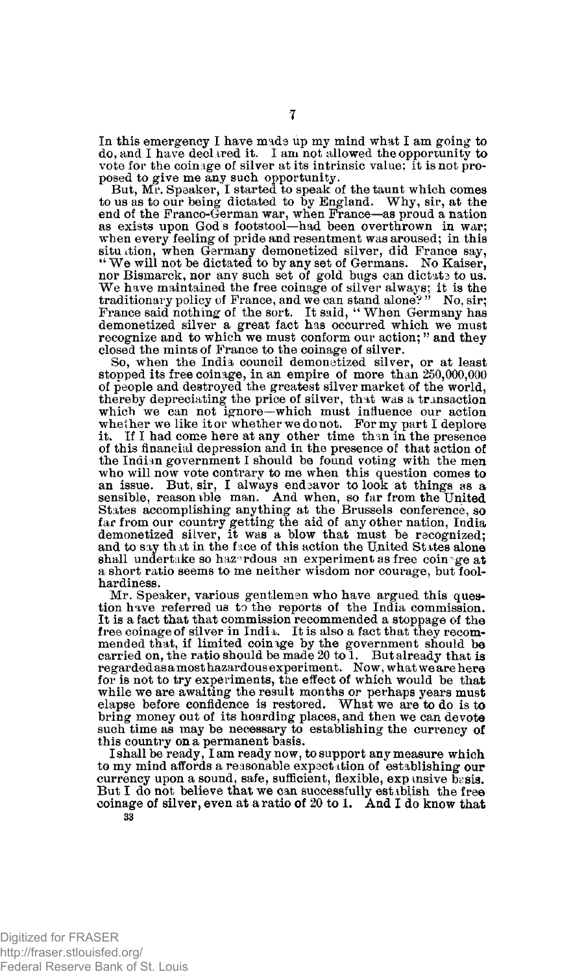**In this emergency I have made up my mind what I am going to do, and I have declared it. I am not allowed the opportunity to vote for the coinage of silver at its intrinsic value; it is not proposed to give me any such opportunity.** 

**But, Mr. Speaker, I started to speak of the taunt which comes to us as to our being dictated to by England. Why, sir, at the end of the Franco-German war, when France—as proud a nation as exists upon God s footstool—had been overthrown in war; when every feeling of pride and resentment was aroused; in this**  situ tion, when Germany demonetized silver, did France say, "We will not be dictated to by any set of Germans. No Kaiser, nor Bismarck, nor any such set of gold bugs can dictate to us. We have maintained the free coinage of silver always; it is the **traditionary** policy of France, and we can stand alone?" No, sir; **France said nothing of the sort. It said, " When Germany has demonetized silver a great fact has occurred which we must recognize and to which we must conform our action; " and they closed the mints of France to the coinage of silver.** 

**So, when the India council demonetized silver, or at least stopped its free coinage, in an empire of more than 250,000,000 of people and destroyed the greatest silver market of the world, thereby depreciating the price of silver, that was a transaction which we can not ignore—which must influence our action whether we like it or whether we do not. For my part I deplore it. If I had come here at any other time than in the presence of this financial depression and in the presence of that action of the Indian government I should be found voting with the men who will now vote contrary to me when this question comes to**  an issue. But, sir, I always endeavor to look at things as a sensible, reason ble man. And when, so far from the United **States accomplishing anything at the Brussels conference, so far from our country getting the aid of any other nation, India demonetized silver, it was a blow that must be recognized;**  and to say that in the face of this action the United States alone shall undertake so hazardous an experiment as free coinage at **a short ratio seems to me neither wisdom nor courage, but foolhardiness.** 

**Mr. Speaker, various gentlemen who have argued this question have referred us to the reports of the India commission. It is a fact that that commission recommended a stoppage of the free coinage of silver in India. It is also a fact that they recommended that, if limited coinage by the government should be carried on, the ratio should be made 20 to 1. But already that is regarded as a most hazardous experiment. Now, what we are here for is not to try experiments, the effect of which would be that while we are awaiting the result months or perhaps years must elapse before confidence is restored. What we are to do is to bring money out of its hoarding places, and then we can devote such time as may be necessary to establishing the currency of this country on a permanent basis.** 

**I shall be ready, I am ready now, to support any measure which**  to my mind affords a reasonable expectation of establishing our currency upon a sound, safe, sufficient, flexible, expansive basis. **But I do not believe that we can successfully establish the free coinage of silver, even at a ratio of 20 to 1. And I do know that 33**